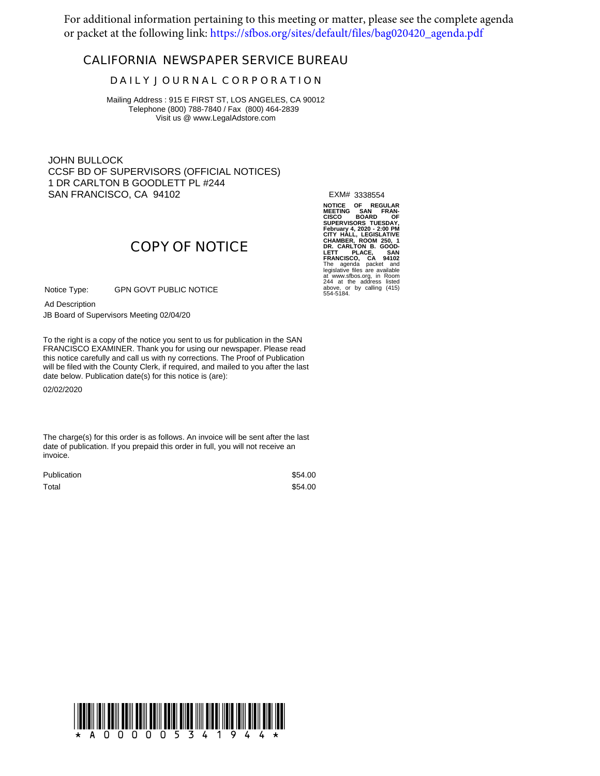For additional information pertaining to this meeting or matter, please see the complete agenda or packet at the following link: [https://sfbos.org/sites/default/files/bag020420\\_agenda.pdf](https://sfbos.org/sites/default/files/bag020420_agenda.pdf)

# **CALIFORNIA NEWSPAPER SERVICE BUREAU**

## **D A I L Y J O U R N A L C O R P O R A T I O N**

Mailing Address : 915 E FIRST ST, LOS ANGELES, CA 90012 Telephone (800) 788-7840 / Fax (800) 464-2839 Visit us @ www.LegalAdstore.com

JOHN BULLOCK CCSF BD OF SUPERVISORS (OFFICIAL NOTICES) 1 DR CARLTON B GOODLETT PL #244 SAN FRANCISCO, CA 94102

EXM# 3338554

NOTICE OF REGULAR<br>MEETING SAN FRAN-<br>SUPERVISORS TUESDAY,<br>February 4, 2020 - 2:00 PM<br>February 4, 2020 - 2:00 PM<br>CHAMBER, ROOM 250, 1<br>CHAMBER, ROOM 250, 1<br>LETT PLACE, SAN 250, 1<br>FRANCISCO, CA 94102<br>TRANCISCO, CA 94102<br>FRANCI at www.sfbos.org, in Room 244 at the address listed above, or by calling (415) 554-5184.

# **COPY OF NOTICE**

GPN GOVT PUBLIC NOTICE Notice Type:

Ad Description

JB Board of Supervisors Meeting 02/04/20

FRANCISCO EXAMINER. Thank you for using our newspaper. Please read<br>this notice carefully and call us with ny corrections. The Proof of Publication To the right is a copy of the notice you sent to us for publication in the SAN FRANCISCO EXAMINER. Thank you for using our newspaper. Please read will be filed with the County Clerk, if required, and mailed to you after the last date below. Publication date(s) for this notice is (are):

02/02/2020

The charge(s) for this order is as follows. An invoice will be sent after the last date of publication. If you prepaid this order in full, you will not receive an invoice.

| <b>Publication</b> | \$54.00 |
|--------------------|---------|
| Total              | \$54.00 |

!A000005341944!